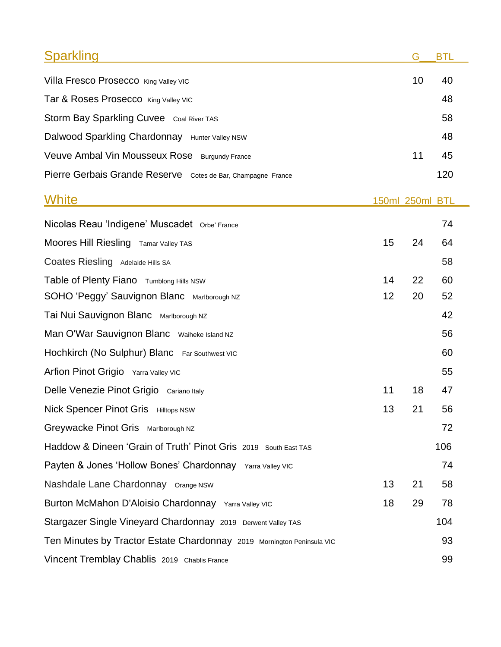| <b>Sparkling</b>                                                       |    | G               | <b>BTL</b> |  |
|------------------------------------------------------------------------|----|-----------------|------------|--|
| Villa Fresco Prosecco King Valley VIC                                  |    | 10              | 40         |  |
| Tar & Roses Prosecco King Valley VIC                                   |    |                 | 48         |  |
| Storm Bay Sparkling Cuvee Coal River TAS                               |    |                 | 58         |  |
| Dalwood Sparkling Chardonnay Hunter Valley NSW                         |    |                 | 48         |  |
| Veuve Ambal Vin Mousseux Rose Burgundy France                          |    | 11              | 45         |  |
| Pierre Gerbais Grande Reserve Cotes de Bar, Champagne France           |    |                 | 120        |  |
| White                                                                  |    | 150ml 250ml BTL |            |  |
| Nicolas Reau 'Indigene' Muscadet Orbe' France                          |    |                 | 74         |  |
| Moores Hill Riesling Tamar Valley TAS                                  | 15 | 24              | 64         |  |
| Coates Riesling Adelaide Hills SA                                      |    |                 | 58         |  |
| Table of Plenty Fiano Tumblong Hills NSW                               | 14 | 22              | 60         |  |
| SOHO 'Peggy' Sauvignon Blanc Marlborough NZ                            | 12 | 20              | 52         |  |
| Tai Nui Sauvignon Blanc Marlborough NZ                                 |    |                 | 42         |  |
| Man O'War Sauvignon Blanc Waiheke Island NZ                            |    |                 | 56         |  |
| Hochkirch (No Sulphur) Blanc Far Southwest VIC                         |    |                 | 60         |  |
| Arfion Pinot Grigio Yarra Valley VIC                                   |    |                 | 55         |  |
| Delle Venezie Pinot Grigio Cariano Italy                               | 11 | 18              | 47         |  |
| Nick Spencer Pinot Gris Hilltops NSW                                   | 13 | 21              | 56         |  |
| Greywacke Pinot Gris Marlborough NZ                                    |    |                 | 72         |  |
| Haddow & Dineen 'Grain of Truth' Pinot Gris 2019 South East TAS        |    |                 | 106        |  |
| Payten & Jones 'Hollow Bones' Chardonnay Yarra Valley VIC              |    |                 | 74         |  |
| Nashdale Lane Chardonnay Orange NSW                                    | 13 | 21              | 58         |  |
| Burton McMahon D'Aloisio Chardonnay Yarra Valley VIC                   | 18 | 29              | 78         |  |
| Stargazer Single Vineyard Chardonnay 2019 Derwent Valley TAS           |    |                 | 104        |  |
| Ten Minutes by Tractor Estate Chardonnay 2019 Mornington Peninsula VIC |    |                 | 93         |  |
| Vincent Tremblay Chablis 2019 Chablis France                           |    |                 | 99         |  |